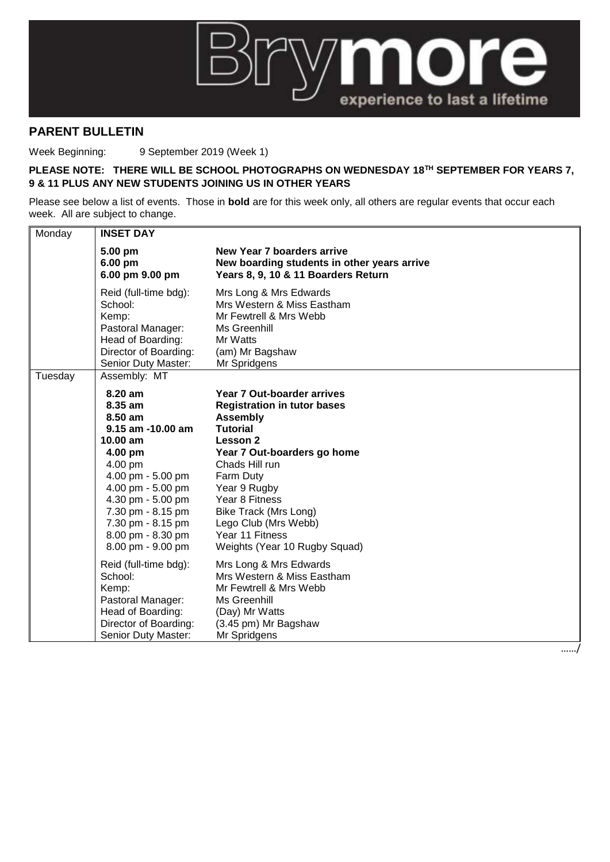

## **PARENT BULLETIN**

Week Beginning: 9 September 2019 (Week 1)

## **PLEASE NOTE: THERE WILL BE SCHOOL PHOTOGRAPHS ON WEDNESDAY 18TH SEPTEMBER FOR YEARS 7, 9 & 11 PLUS ANY NEW STUDENTS JOINING US IN OTHER YEARS**

Please see below a list of events. Those in **bold** are for this week only, all others are regular events that occur each week. All are subject to change.

| Monday  | <b>INSET DAY</b>                                                                                                                                |                                                                                                                                                                     |  |
|---------|-------------------------------------------------------------------------------------------------------------------------------------------------|---------------------------------------------------------------------------------------------------------------------------------------------------------------------|--|
|         | 5.00 pm<br>6.00 pm<br>6.00 pm 9.00 pm                                                                                                           | New Year 7 boarders arrive<br>New boarding students in other years arrive<br>Years 8, 9, 10 & 11 Boarders Return                                                    |  |
|         | Reid (full-time bdg):<br>School:<br>Kemp:<br>Pastoral Manager:<br>Head of Boarding:<br>Director of Boarding:<br>Senior Duty Master:             | Mrs Long & Mrs Edwards<br>Mrs Western & Miss Eastham<br>Mr Fewtrell & Mrs Webb<br>Ms Greenhill<br>Mr Watts<br>(am) Mr Bagshaw<br>Mr Spridgens                       |  |
| Tuesday | Assembly: MT<br>8.20 am<br>8.35 am<br>8.50 am<br>9.15 am -10.00 am<br>$10.00$ am<br>4.00 pm<br>4.00 pm                                          | Year 7 Out-boarder arrives<br><b>Registration in tutor bases</b><br><b>Assembly</b><br><b>Tutorial</b><br>Lesson 2<br>Year 7 Out-boarders go home<br>Chads Hill run |  |
|         | 4.00 pm - 5.00 pm<br>4.00 pm - 5.00 pm<br>4.30 pm - 5.00 pm<br>7.30 pm - 8.15 pm<br>7.30 pm - 8.15 pm<br>8.00 pm - 8.30 pm<br>8.00 pm - 9.00 pm | Farm Duty<br>Year 9 Rugby<br>Year 8 Fitness<br>Bike Track (Mrs Long)<br>Lego Club (Mrs Webb)<br>Year 11 Fitness<br>Weights (Year 10 Rugby Squad)                    |  |
|         | Reid (full-time bdg):<br>School:<br>Kemp:<br>Pastoral Manager:<br>Head of Boarding:<br>Director of Boarding:<br>Senior Duty Master:             | Mrs Long & Mrs Edwards<br>Mrs Western & Miss Eastham<br>Mr Fewtrell & Mrs Webb<br>Ms Greenhill<br>(Day) Mr Watts<br>(3.45 pm) Mr Bagshaw<br>Mr Spridgens            |  |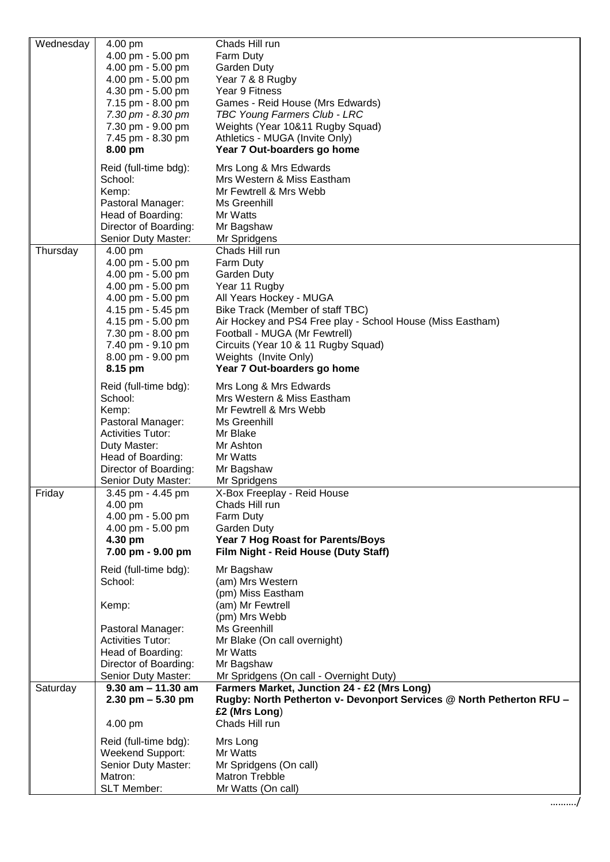| Wednesday | 4.00 pm                                      | Chads Hill run                                                                        |
|-----------|----------------------------------------------|---------------------------------------------------------------------------------------|
|           | 4.00 pm - 5.00 pm                            | Farm Duty                                                                             |
|           | 4.00 pm - 5.00 pm                            | Garden Duty                                                                           |
|           | 4.00 pm - 5.00 pm                            | Year 7 & 8 Rugby                                                                      |
|           | 4.30 pm - 5.00 pm                            | Year 9 Fitness                                                                        |
|           | 7.15 pm - 8.00 pm                            | Games - Reid House (Mrs Edwards)                                                      |
|           | 7.30 pm - 8.30 pm                            | TBC Young Farmers Club - LRC                                                          |
|           | 7.30 pm - 9.00 pm                            | Weights (Year 10&11 Rugby Squad)                                                      |
|           | 7.45 pm - 8.30 pm                            | Athletics - MUGA (Invite Only)                                                        |
|           | 8.00 pm                                      | Year 7 Out-boarders go home                                                           |
|           | Reid (full-time bdg):<br>School:             | Mrs Long & Mrs Edwards<br>Mrs Western & Miss Eastham                                  |
|           | Kemp:                                        | Mr Fewtrell & Mrs Webb                                                                |
|           | Pastoral Manager:                            | Ms Greenhill                                                                          |
|           | Head of Boarding:                            | Mr Watts                                                                              |
|           | Director of Boarding:                        | Mr Bagshaw                                                                            |
|           | Senior Duty Master:                          | Mr Spridgens                                                                          |
| Thursday  | 4.00 pm                                      | Chads Hill run                                                                        |
|           | 4.00 pm - 5.00 pm                            | Farm Duty                                                                             |
|           | 4.00 pm - 5.00 pm                            | Garden Duty                                                                           |
|           | 4.00 pm - 5.00 pm                            | Year 11 Rugby                                                                         |
|           | 4.00 pm - 5.00 pm                            | All Years Hockey - MUGA                                                               |
|           | 4.15 pm - 5.45 pm                            | Bike Track (Member of staff TBC)                                                      |
|           | 4.15 pm - 5.00 pm                            | Air Hockey and PS4 Free play - School House (Miss Eastham)                            |
|           | 7.30 pm - 8.00 pm                            | Football - MUGA (Mr Fewtrell)                                                         |
|           | 7.40 pm - 9.10 pm                            | Circuits (Year 10 & 11 Rugby Squad)                                                   |
|           | 8.00 pm - 9.00 pm                            | Weights (Invite Only)                                                                 |
|           | 8.15 pm                                      | Year 7 Out-boarders go home                                                           |
|           | Reid (full-time bdg):                        | Mrs Long & Mrs Edwards                                                                |
|           | School:                                      | Mrs Western & Miss Eastham                                                            |
|           | Kemp:                                        | Mr Fewtrell & Mrs Webb                                                                |
|           | Pastoral Manager:                            | Ms Greenhill                                                                          |
|           | <b>Activities Tutor:</b>                     | Mr Blake                                                                              |
|           | Duty Master:                                 | Mr Ashton                                                                             |
|           | Head of Boarding:                            | Mr Watts                                                                              |
|           | Director of Boarding:<br>Senior Duty Master: | Mr Bagshaw<br>Mr Spridgens                                                            |
| Friday    | 3.45 pm - 4.45 pm                            | X-Box Freeplay - Reid House                                                           |
|           | 4.00 pm                                      | Chads Hill run                                                                        |
|           | 4.00 pm - 5.00 pm                            | Farm Duty                                                                             |
|           | 4.00 pm - 5.00 pm                            | <b>Garden Duty</b>                                                                    |
|           | 4.30 pm                                      | <b>Year 7 Hog Roast for Parents/Boys</b>                                              |
|           | 7.00 pm - 9.00 pm                            | Film Night - Reid House (Duty Staff)                                                  |
|           | Reid (full-time bdg):                        | Mr Bagshaw                                                                            |
|           | School:                                      | (am) Mrs Western                                                                      |
|           |                                              | (pm) Miss Eastham                                                                     |
|           | Kemp:                                        | (am) Mr Fewtrell                                                                      |
|           |                                              | (pm) Mrs Webb                                                                         |
|           | Pastoral Manager:                            | Ms Greenhill                                                                          |
|           | <b>Activities Tutor:</b>                     | Mr Blake (On call overnight)                                                          |
|           | Head of Boarding:                            | Mr Watts                                                                              |
|           | Director of Boarding:                        | Mr Bagshaw                                                                            |
|           | Senior Duty Master:                          | Mr Spridgens (On call - Overnight Duty)                                               |
| Saturday  | $9.30$ am $- 11.30$ am                       | Farmers Market, Junction 24 - £2 (Mrs Long)                                           |
|           | $2.30$ pm $-5.30$ pm                         | Rugby: North Petherton v- Devonport Services @ North Petherton RFU -<br>£2 (Mrs Long) |
|           | 4.00 pm                                      | Chads Hill run                                                                        |
|           |                                              |                                                                                       |
|           | Reid (full-time bdg):                        | Mrs Long                                                                              |
|           | Weekend Support:<br>Senior Duty Master:      | Mr Watts<br>Mr Spridgens (On call)                                                    |
|           | Matron:                                      | <b>Matron Trebble</b>                                                                 |
|           | <b>SLT Member:</b>                           | Mr Watts (On call)                                                                    |
|           |                                              |                                                                                       |